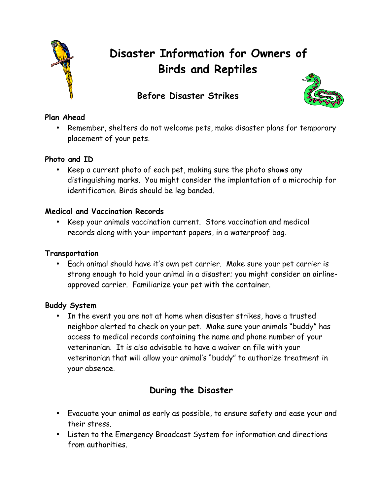

# **Disaster Information for Owners of Birds and Reptiles**

# **Before Disaster Strikes**



## **Plan Ahead**

• Remember, shelters do not welcome pets, make disaster plans for temporary placement of your pets.

### **Photo and ID**

• Keep a current photo of each pet, making sure the photo shows any distinguishing marks. You might consider the implantation of a microchip for identification. Birds should be leg banded.

#### **Medical and Vaccination Records**

• Keep your animals vaccination current. Store vaccination and medical records along with your important papers, in a waterproof bag.

#### **Transportation**

• Each animal should have it's own pet carrier. Make sure your pet carrier is strong enough to hold your animal in a disaster; you might consider an airlineapproved carrier. Familiarize your pet with the container.

#### **Buddy System**

• In the event you are not at home when disaster strikes, have a trusted neighbor alerted to check on your pet. Make sure your animals "buddy" has access to medical records containing the name and phone number of your veterinarian. It is also advisable to have a waiver on file with your veterinarian that will allow your animal's "buddy" to authorize treatment in your absence.

## **During the Disaster**

- Evacuate your animal as early as possible, to ensure safety and ease your and their stress.
- Listen to the Emergency Broadcast System for information and directions from authorities.